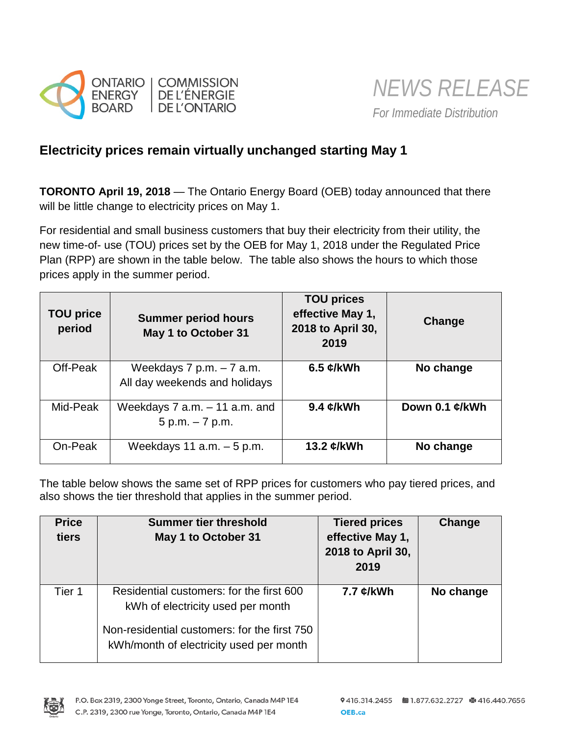

# **Electricity prices remain virtually unchanged starting May 1**

**TORONTO April 19, 2018** — The Ontario Energy Board (OEB) today announced that there will be little change to electricity prices on May 1.

For residential and small business customers that buy their electricity from their utility, the new time-of- use (TOU) prices set by the OEB for May 1, 2018 under the Regulated Price Plan (RPP) are shown in the table below. The table also shows the hours to which those prices apply in the summer period.

| <b>TOU price</b><br>period | <b>Summer period hours</b><br>May 1 to October 31           | <b>TOU prices</b><br>effective May 1,<br>2018 to April 30,<br>2019 | Change         |
|----------------------------|-------------------------------------------------------------|--------------------------------------------------------------------|----------------|
| Off-Peak                   | Weekdays $7 p.m. - 7 a.m.$<br>All day weekends and holidays | 6.5 $\mathcal{C}/kWh$                                              | No change      |
| Mid-Peak                   | Weekdays $7$ a.m. $-11$ a.m. and<br>$5 p.m. - 7 p.m.$       | 9.4 $\mathcal{L}/kWh$                                              | Down 0.1 ¢/kWh |
| On-Peak                    | Weekdays 11 $a.m. - 5 p.m.$                                 | 13.2 $\epsilon$ /kWh                                               | No change      |

The table below shows the same set of RPP prices for customers who pay tiered prices, and also shows the tier threshold that applies in the summer period.

| <b>Price</b><br>tiers | <b>Summer tier threshold</b><br>May 1 to October 31                                                                                                                      | <b>Tiered prices</b><br>effective May 1,<br>2018 to April 30,<br>2019 | Change    |
|-----------------------|--------------------------------------------------------------------------------------------------------------------------------------------------------------------------|-----------------------------------------------------------------------|-----------|
| Tier 1                | Residential customers: for the first 600<br>kWh of electricity used per month<br>Non-residential customers: for the first 750<br>kWh/month of electricity used per month | 7.7 ¢/kWh                                                             | No change |

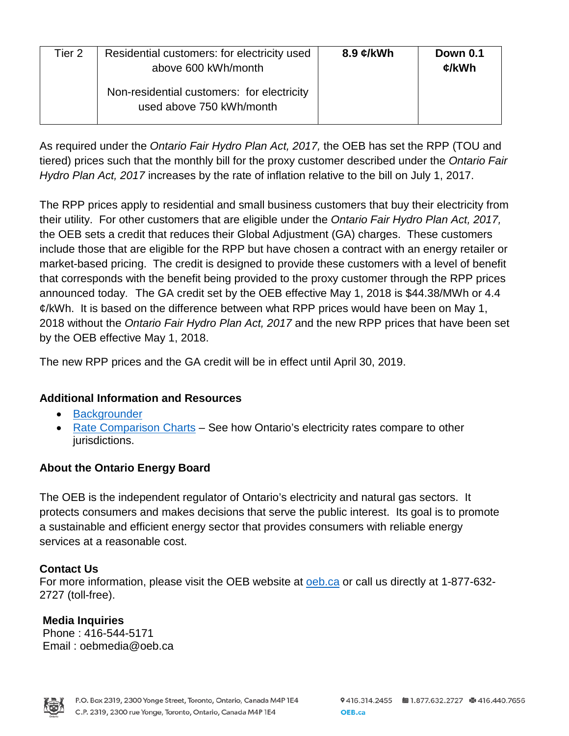| Tier 2 | Residential customers: for electricity used<br>above 600 kWh/month     | 8.9 $\mathcal{C}/kWh$ | <b>Down 0.1</b><br>¢/kWh |
|--------|------------------------------------------------------------------------|-----------------------|--------------------------|
|        | Non-residential customers: for electricity<br>used above 750 kWh/month |                       |                          |

As required under the *Ontario Fair Hydro Plan Act, 2017,* the OEB has set the RPP (TOU and tiered) prices such that the monthly bill for the proxy customer described under the *Ontario Fair Hydro Plan Act, 2017* increases by the rate of inflation relative to the bill on July 1, 2017.

The RPP prices apply to residential and small business customers that buy their electricity from their utility. For other customers that are eligible under the *Ontario Fair Hydro Plan Act, 2017,*  the OEB sets a credit that reduces their Global Adjustment (GA) charges. These customers include those that are eligible for the RPP but have chosen a contract with an energy retailer or market-based pricing. The credit is designed to provide these customers with a level of benefit that corresponds with the benefit being provided to the proxy customer through the RPP prices announced today. The GA credit set by the OEB effective May 1, 2018 is \$44.38/MWh or 4.4 ¢/kWh. It is based on the difference between what RPP prices would have been on May 1, 2018 without the *Ontario Fair Hydro Plan Act, 2017* and the new RPP prices that have been set by the OEB effective May 1, 2018.

The new RPP prices and the GA credit will be in effect until April 30, 2019.

## **Additional Information and Resources**

- [Backgrounder](https://www.oeb.ca/sites/default/files/backgrounder-rpp-20180419.pdf)
- [Rate Comparison Charts](https://www.oeb.ca/rates-and-your-bill/electricity-rates/electricity-rate-comparison) See how Ontario's electricity rates compare to other jurisdictions.

## **About the Ontario Energy Board**

The OEB is the independent regulator of Ontario's electricity and natural gas sectors. It protects consumers and makes decisions that serve the public interest. Its goal is to promote a sustainable and efficient energy sector that provides consumers with reliable energy services at a reasonable cost.

## **Contact Us**

For more information, please visit the OEB website at **oeb.ca** or call us directly at 1-877-632-2727 (toll-free).

### **Media Inquiries**  Phone : 416-544-5171 Email : oebmedia@oeb.ca